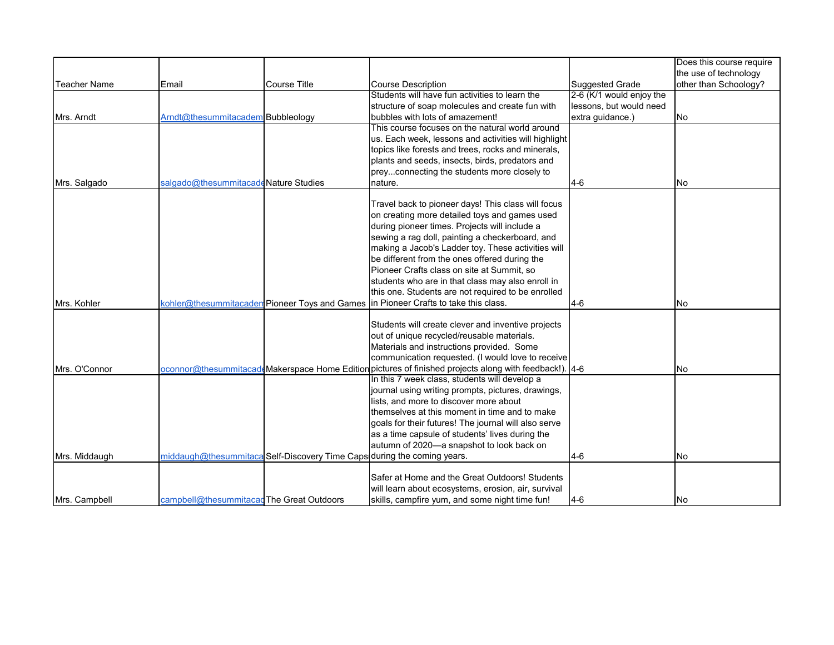|                     |                                           |                                                                         |                                                                                                         |                          | Does this course require |
|---------------------|-------------------------------------------|-------------------------------------------------------------------------|---------------------------------------------------------------------------------------------------------|--------------------------|--------------------------|
|                     |                                           |                                                                         |                                                                                                         |                          | the use of technology    |
| <b>Teacher Name</b> | Email                                     | <b>Course Title</b>                                                     | <b>Course Description</b>                                                                               | Suggested Grade          | other than Schoology?    |
|                     |                                           |                                                                         | Students will have fun activities to learn the                                                          | 2-6 (K/1 would enjoy the |                          |
|                     |                                           |                                                                         | structure of soap molecules and create fun with                                                         | lessons, but would need  |                          |
| Mrs. Arndt          | Arndt@thesummitacadem Bubbleology         |                                                                         | bubbles with lots of amazement!                                                                         | extra guidance.)         | <b>No</b>                |
|                     |                                           |                                                                         | This course focuses on the natural world around                                                         |                          |                          |
|                     |                                           |                                                                         | us. Each week, lessons and activities will highlight                                                    |                          |                          |
|                     |                                           |                                                                         | topics like forests and trees, rocks and minerals,                                                      |                          |                          |
|                     |                                           |                                                                         | plants and seeds, insects, birds, predators and                                                         |                          |                          |
|                     |                                           |                                                                         | preyconnecting the students more closely to                                                             |                          |                          |
| Mrs. Salgado        | salgado@thesummitacadeNature Studies      |                                                                         | nature.                                                                                                 | $4-6$                    | INo.                     |
|                     |                                           |                                                                         |                                                                                                         |                          |                          |
|                     |                                           |                                                                         | Travel back to pioneer days! This class will focus                                                      |                          |                          |
|                     |                                           |                                                                         | on creating more detailed toys and games used                                                           |                          |                          |
|                     |                                           |                                                                         | during pioneer times. Projects will include a                                                           |                          |                          |
|                     |                                           |                                                                         | sewing a rag doll, painting a checkerboard, and                                                         |                          |                          |
|                     |                                           |                                                                         | making a Jacob's Ladder toy. These activities will                                                      |                          |                          |
|                     |                                           |                                                                         | be different from the ones offered during the                                                           |                          |                          |
|                     |                                           |                                                                         | Pioneer Crafts class on site at Summit, so<br>students who are in that class may also enroll in         |                          |                          |
|                     |                                           |                                                                         | this one. Students are not required to be enrolled                                                      |                          |                          |
| Mrs. Kohler         |                                           | kohler@thesummitacaden Pioneer Toys and Games                           | In Pioneer Crafts to take this class.                                                                   | $4-6$                    | <b>No</b>                |
|                     |                                           |                                                                         |                                                                                                         |                          |                          |
|                     |                                           |                                                                         | Students will create clever and inventive projects                                                      |                          |                          |
|                     |                                           |                                                                         | out of unique recycled/reusable materials.                                                              |                          |                          |
|                     |                                           |                                                                         | Materials and instructions provided. Some                                                               |                          |                          |
|                     |                                           |                                                                         | communication requested. (I would love to receive                                                       |                          |                          |
| Mrs. O'Connor       |                                           |                                                                         | oconnor@thesummitacadeMakerspace Home Edition pictures of finished projects along with feedback!). [4-6 |                          | <b>No</b>                |
|                     |                                           |                                                                         | In this 7 week class, students will develop a                                                           |                          |                          |
|                     |                                           |                                                                         | journal using writing prompts, pictures, drawings,                                                      |                          |                          |
|                     |                                           |                                                                         | lists, and more to discover more about                                                                  |                          |                          |
|                     |                                           |                                                                         | themselves at this moment in time and to make                                                           |                          |                          |
|                     |                                           |                                                                         | goals for their futures! The journal will also serve                                                    |                          |                          |
|                     |                                           |                                                                         | as a time capsule of students' lives during the                                                         |                          |                          |
|                     |                                           |                                                                         | autumn of 2020-a snapshot to look back on                                                               |                          |                          |
| Mrs. Middaugh       |                                           | middaugh@thesummitaca Self-Discovery Time Caps during the coming years. |                                                                                                         | $4 - 6$                  | <b>No</b>                |
|                     |                                           |                                                                         |                                                                                                         |                          |                          |
|                     |                                           |                                                                         | Safer at Home and the Great Outdoors! Students                                                          |                          |                          |
|                     |                                           |                                                                         | will learn about ecosystems, erosion, air, survival                                                     |                          |                          |
| Mrs. Campbell       | campbell@thesummitacad The Great Outdoors |                                                                         | skills, campfire yum, and some night time fun!                                                          | <b>4-6</b>               | INo.                     |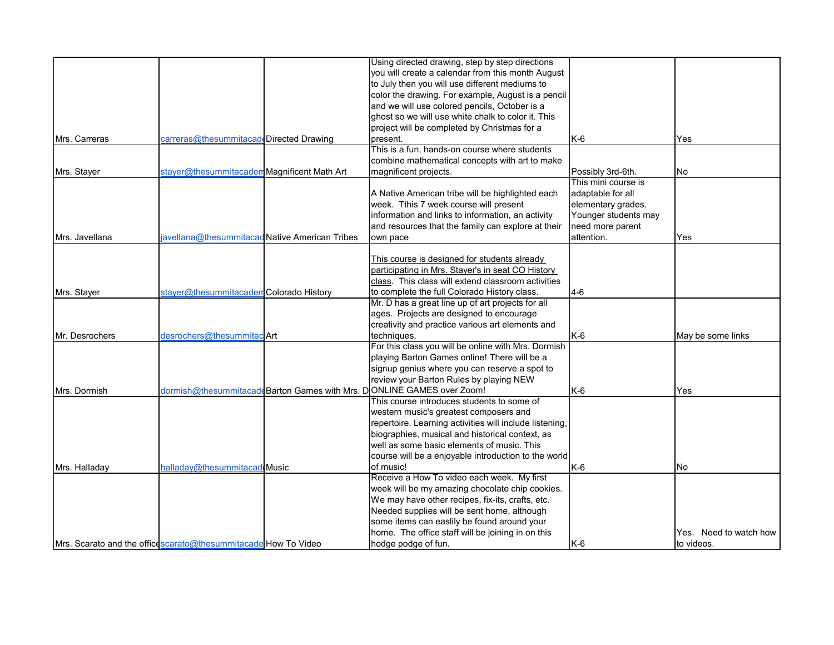|                |                                                                 | Using directed drawing, step by step directions                       |                      |                        |
|----------------|-----------------------------------------------------------------|-----------------------------------------------------------------------|----------------------|------------------------|
|                |                                                                 | you will create a calendar from this month August                     |                      |                        |
|                |                                                                 | to July then you will use different mediums to                        |                      |                        |
|                |                                                                 | color the drawing. For example, August is a pencil                    |                      |                        |
|                |                                                                 | and we will use colored pencils, October is a                         |                      |                        |
|                |                                                                 | ghost so we will use white chalk to color it. This                    |                      |                        |
|                |                                                                 | project will be completed by Christmas for a                          |                      |                        |
| Mrs. Carreras  | carreras@thesummitacad Directed Drawing                         | present.                                                              | K-6                  | Yes                    |
|                |                                                                 | This is a fun, hands-on course where students                         |                      |                        |
|                |                                                                 | combine mathematical concepts with art to make                        |                      |                        |
| Mrs. Stayer    | stayer@thesummitacadem Magnificent Math Art                     | magnificent projects.                                                 | Possibly 3rd-6th.    | No                     |
|                |                                                                 |                                                                       | This mini course is  |                        |
|                |                                                                 | A Native American tribe will be highlighted each                      | adaptable for all    |                        |
|                |                                                                 | week. Tthis 7 week course will present                                | elementary grades.   |                        |
|                |                                                                 | information and links to information, an activity                     | Younger students may |                        |
|                |                                                                 | and resources that the family can explore at their                    | need more parent     |                        |
| Mrs. Javellana | iavellana@thesummitacadNative American Tribes                   | own pace                                                              | attention.           | Yes                    |
|                |                                                                 |                                                                       |                      |                        |
|                |                                                                 | This course is designed for students already                          |                      |                        |
|                |                                                                 | participating in Mrs. Stayer's in seat CO History                     |                      |                        |
|                |                                                                 | class. This class will extend classroom activities                    |                      |                        |
| Mrs. Stayer    | stayer@thesummitacademColorado History                          | to complete the full Colorado History class.                          | $4-6$                |                        |
|                |                                                                 | Mr. D has a great line up of art projects for all                     |                      |                        |
|                |                                                                 | ages. Projects are designed to encourage                              |                      |                        |
|                |                                                                 | creativity and practice various art elements and                      |                      |                        |
| Mr. Desrochers | desrochers@thesummitac Art                                      | techniques.                                                           | $K-6$                | May be some links      |
|                |                                                                 | For this class you will be online with Mrs. Dormish                   |                      |                        |
|                |                                                                 | playing Barton Games online! There will be a                          |                      |                        |
|                |                                                                 | signup genius where you can reserve a spot to                         |                      |                        |
|                |                                                                 | review your Barton Rules by playing NEW                               |                      |                        |
| Mrs. Dormish   |                                                                 | dormish@thesummitacaddBarton Games with Mrs. DONLINE GAMES over Zoom! | $K-6$                | Yes                    |
|                |                                                                 | This course introduces students to some of                            |                      |                        |
|                |                                                                 | western music's greatest composers and                                |                      |                        |
|                |                                                                 | repertoire. Learning activities will include listening,               |                      |                        |
|                |                                                                 | biographies, musical and historical context, as                       |                      |                        |
|                |                                                                 | well as some basic elements of music. This                            |                      |                        |
|                |                                                                 | course will be a enjoyable introduction to the world                  |                      |                        |
| Mrs. Halladay  | halladav@thesummitacad Music                                    | of music!                                                             | $K-6$                | <b>No</b>              |
|                |                                                                 | Receive a How To video each week. My first                            |                      |                        |
|                |                                                                 | week will be my amazing chocolate chip cookies.                       |                      |                        |
|                |                                                                 | We may have other recipes, fix-its, crafts, etc.                      |                      |                        |
|                |                                                                 | Needed supplies will be sent home, although                           |                      |                        |
|                |                                                                 | some items can easlily be found around your                           |                      |                        |
|                |                                                                 | home. The office staff will be joining in on this                     |                      | Yes. Need to watch how |
|                | Mrs. Scarato and the office scarato@thesummitacade How To Video | hodge podge of fun.                                                   | $K-6$                | to videos.             |
|                |                                                                 |                                                                       |                      |                        |